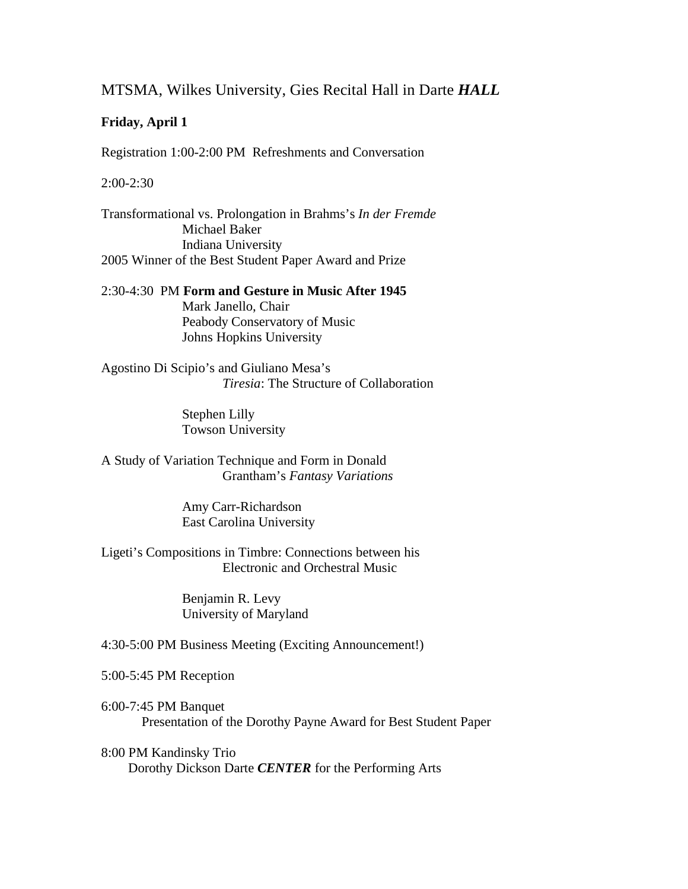# MTSMA, Wilkes University, Gies Recital Hall in Darte *HALL*

### **Friday, April 1**

Registration 1:00-2:00 PM Refreshments and Conversation

2:00-2:30

Transformational vs. Prolongation in Brahms's *In der Fremde* Michael Baker Indiana University 2005 Winner of the Best Student Paper Award and Prize

2:30-4:30 PM **Form and Gesture in Music After 1945** Mark Janello, Chair Peabody Conservatory of Music Johns Hopkins University

Agostino Di Scipio's and Giuliano Mesa's *Tiresia*: The Structure of Collaboration

> Stephen Lilly Towson University

A Study of Variation Technique and Form in Donald Grantham's *Fantasy Variations*

> Amy Carr-Richardson East Carolina University

Ligeti's Compositions in Timbre: Connections between his Electronic and Orchestral Music

> Benjamin R. Levy University of Maryland

4:30-5:00 PM Business Meeting (Exciting Announcement!)

5:00-5:45 PM Reception

6:00-7:45 PM Banquet Presentation of the Dorothy Payne Award for Best Student Paper

8:00 PM Kandinsky Trio Dorothy Dickson Darte *CENTER* for the Performing Arts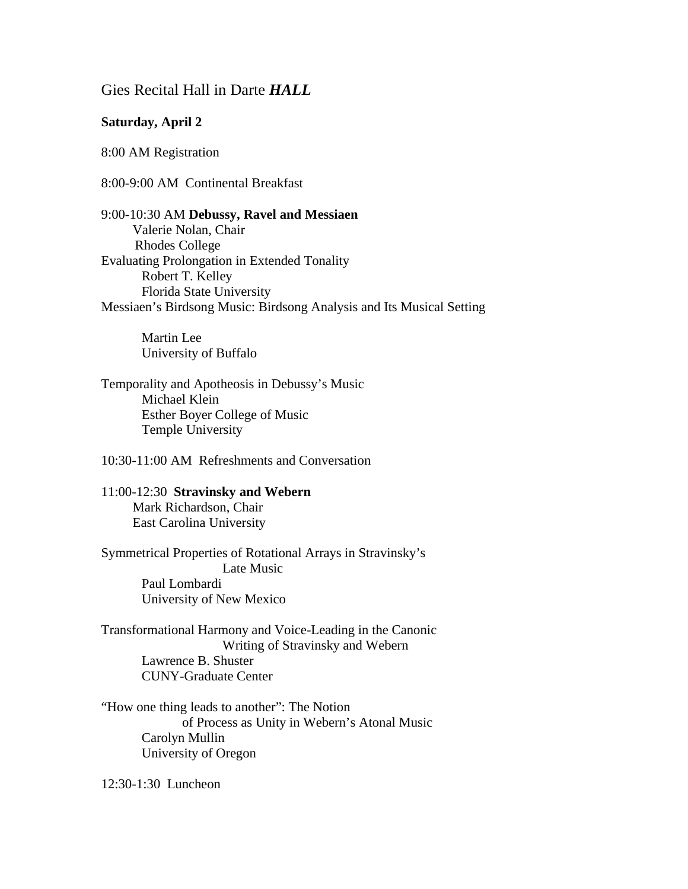## Gies Recital Hall in Darte *HALL*

#### **Saturday, April 2**

8:00 AM Registration

8:00-9:00 AM Continental Breakfast

9:00-10:30 AM **Debussy, Ravel and Messiaen** Valerie Nolan, Chair Rhodes College Evaluating Prolongation in Extended Tonality Robert T. Kelley Florida State University Messiaen's Birdsong Music: Birdsong Analysis and Its Musical Setting

> Martin Lee University of Buffalo

Temporality and Apotheosis in Debussy's Music Michael Klein Esther Boyer College of Music Temple University

10:30-11:00 AM Refreshments and Conversation

11:00-12:30 **Stravinsky and Webern** Mark Richardson, Chair East Carolina University

Symmetrical Properties of Rotational Arrays in Stravinsky's Late Music Paul Lombardi University of New Mexico

Transformational Harmony and Voice-Leading in the Canonic Writing of Stravinsky and Webern Lawrence B. Shuster CUNY-Graduate Center

"How one thing leads to another": The Notion of Process as Unity in Webern's Atonal Music Carolyn Mullin University of Oregon

12:30-1:30 Luncheon